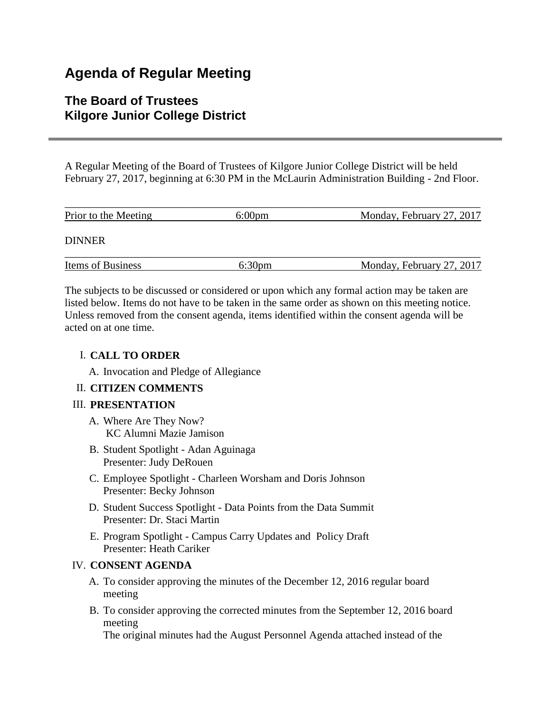# **Agenda of Regular Meeting**

# **The Board of Trustees Kilgore Junior College District**

A Regular Meeting of the Board of Trustees of Kilgore Junior College District will be held February 27, 2017, beginning at 6:30 PM in the McLaurin Administration Building - 2nd Floor.

| Prior to the Meeting | $6:00 \text{pm}$   | Monday, February 27, 2017 |
|----------------------|--------------------|---------------------------|
| <b>DINNER</b>        |                    |                           |
| Items of Business    | 6:30 <sub>pm</sub> | Monday, February 27, 2017 |

The subjects to be discussed or considered or upon which any formal action may be taken are listed below. Items do not have to be taken in the same order as shown on this meeting notice. Unless removed from the consent agenda, items identified within the consent agenda will be acted on at one time.

### I. **CALL TO ORDER**

A. Invocation and Pledge of Allegiance

# II. **CITIZEN COMMENTS**

#### III. **PRESENTATION**

- A. Where Are They Now? KC Alumni Mazie Jamison
- B. Student Spotlight Adan Aguinaga Presenter: Judy DeRouen
- C. Employee Spotlight Charleen Worsham and Doris Johnson Presenter: Becky Johnson
- D. Student Success Spotlight Data Points from the Data Summit Presenter: Dr. Staci Martin
- E. Program Spotlight Campus Carry Updates and Policy Draft Presenter: Heath Cariker

# IV. **CONSENT AGENDA**

- A. To consider approving the minutes of the December 12, 2016 regular board meeting
- B. To consider approving the corrected minutes from the September 12, 2016 board meeting

The original minutes had the August Personnel Agenda attached instead of the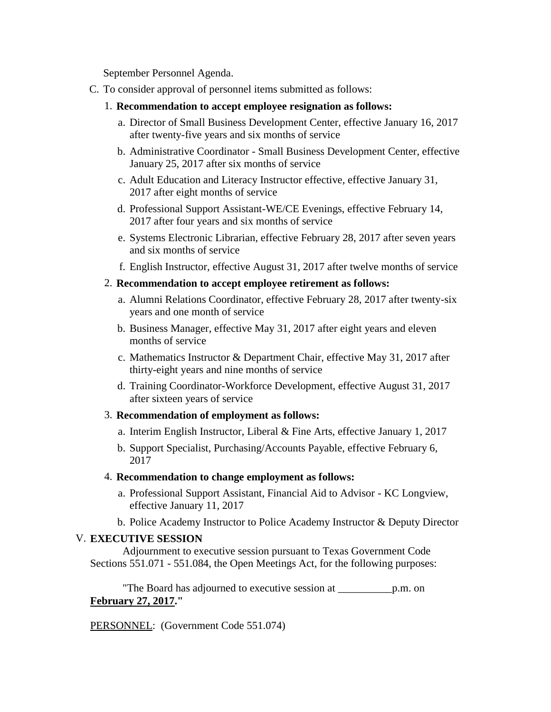September Personnel Agenda.

- C. To consider approval of personnel items submitted as follows:
	- 1. **Recommendation to accept employee resignation as follows:**
		- a. Director of Small Business Development Center, effective January 16, 2017 after twenty-five years and six months of service
		- b. Administrative Coordinator Small Business Development Center, effective January 25, 2017 after six months of service
		- c. Adult Education and Literacy Instructor effective, effective January 31, 2017 after eight months of service
		- d. Professional Support Assistant-WE/CE Evenings, effective February 14, 2017 after four years and six months of service
		- e. Systems Electronic Librarian, effective February 28, 2017 after seven years and six months of service
		- f. English Instructor, effective August 31, 2017 after twelve months of service
	- 2. **Recommendation to accept employee retirement as follows:**
		- a. Alumni Relations Coordinator, effective February 28, 2017 after twenty-six years and one month of service
		- b. Business Manager, effective May 31, 2017 after eight years and eleven months of service
		- c. Mathematics Instructor & Department Chair, effective May 31, 2017 after thirty-eight years and nine months of service
		- d. Training Coordinator-Workforce Development, effective August 31, 2017 after sixteen years of service

#### 3. **Recommendation of employment as follows:**

- a. Interim English Instructor, Liberal & Fine Arts, effective January 1, 2017
- b. Support Specialist, Purchasing/Accounts Payable, effective February 6, 2017

#### 4. **Recommendation to change employment as follows:**

- a. Professional Support Assistant, Financial Aid to Advisor KC Longview, effective January 11, 2017
- b. Police Academy Instructor to Police Academy Instructor & Deputy Director

#### V. **EXECUTIVE SESSION**

 Adjournment to executive session pursuant to Texas Government Code Sections 551.071 - 551.084, the Open Meetings Act, for the following purposes:

 "The Board has adjourned to executive session at \_\_\_\_\_\_\_\_\_\_p.m. on **February 27, 2017."**

PERSONNEL: (Government Code 551.074)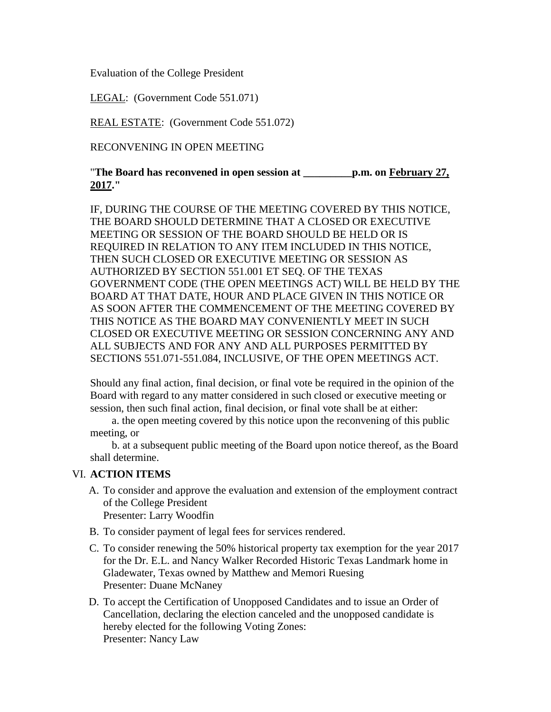Evaluation of the College President

LEGAL: (Government Code 551.071)

REAL ESTATE: (Government Code 551.072)

RECONVENING IN OPEN MEETING

"**The Board has reconvened in open session at \_\_\_\_\_\_\_\_\_p.m. on February 27, 2017."**

IF, DURING THE COURSE OF THE MEETING COVERED BY THIS NOTICE, THE BOARD SHOULD DETERMINE THAT A CLOSED OR EXECUTIVE MEETING OR SESSION OF THE BOARD SHOULD BE HELD OR IS REQUIRED IN RELATION TO ANY ITEM INCLUDED IN THIS NOTICE, THEN SUCH CLOSED OR EXECUTIVE MEETING OR SESSION AS AUTHORIZED BY SECTION 551.001 ET SEQ. OF THE TEXAS GOVERNMENT CODE (THE OPEN MEETINGS ACT) WILL BE HELD BY THE BOARD AT THAT DATE, HOUR AND PLACE GIVEN IN THIS NOTICE OR AS SOON AFTER THE COMMENCEMENT OF THE MEETING COVERED BY THIS NOTICE AS THE BOARD MAY CONVENIENTLY MEET IN SUCH CLOSED OR EXECUTIVE MEETING OR SESSION CONCERNING ANY AND ALL SUBJECTS AND FOR ANY AND ALL PURPOSES PERMITTED BY SECTIONS 551.071-551.084, INCLUSIVE, OF THE OPEN MEETINGS ACT.

Should any final action, final decision, or final vote be required in the opinion of the Board with regard to any matter considered in such closed or executive meeting or session, then such final action, final decision, or final vote shall be at either:

 a. the open meeting covered by this notice upon the reconvening of this public meeting, or

 b. at a subsequent public meeting of the Board upon notice thereof, as the Board shall determine.

# VI. **ACTION ITEMS**

- A. To consider and approve the evaluation and extension of the employment contract of the College President Presenter: Larry Woodfin
- B. To consider payment of legal fees for services rendered.
- C. To consider renewing the 50% historical property tax exemption for the year 2017 for the Dr. E.L. and Nancy Walker Recorded Historic Texas Landmark home in Gladewater, Texas owned by Matthew and Memori Ruesing Presenter: Duane McNaney
- D. To accept the Certification of Unopposed Candidates and to issue an Order of Cancellation, declaring the election canceled and the unopposed candidate is hereby elected for the following Voting Zones: Presenter: Nancy Law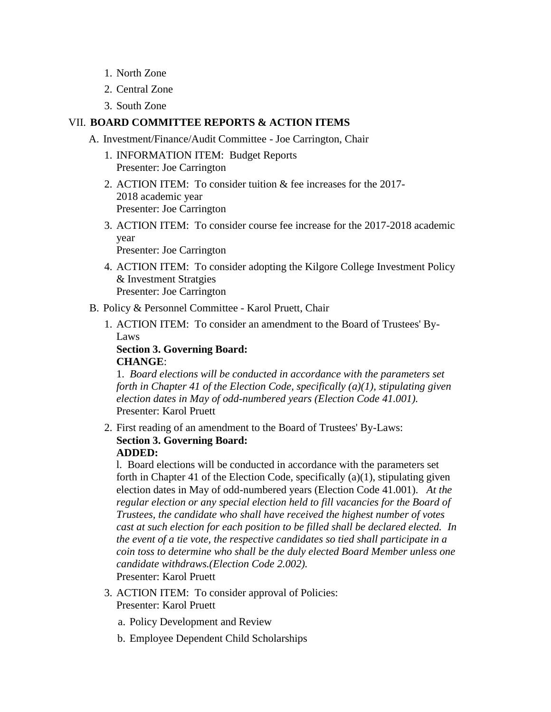- 1. North Zone
- 2. Central Zone
- 3. South Zone

### VII. **BOARD COMMITTEE REPORTS & ACTION ITEMS**

- A. Investment/Finance/Audit Committee Joe Carrington, Chair
	- 1. INFORMATION ITEM: Budget Reports Presenter: Joe Carrington
	- 2. ACTION ITEM: To consider tuition & fee increases for the 2017- 2018 academic year Presenter: Joe Carrington
	- 3. ACTION ITEM: To consider course fee increase for the 2017-2018 academic year Presenter: Joe Carrington
	- 4. ACTION ITEM: To consider adopting the Kilgore College Investment Policy & Investment Stratgies Presenter: Joe Carrington
- B. Policy & Personnel Committee Karol Pruett, Chair
	- 1. ACTION ITEM: To consider an amendment to the Board of Trustees' By-Laws

**Section 3. Governing Board: CHANGE**:

1. *Board elections will be conducted in accordance with the parameters set forth in Chapter 41 of the Election Code, specifically (a)(1), stipulating given election dates in May of odd-numbered years (Election Code 41.001).* Presenter: Karol Pruett

2. First reading of an amendment to the Board of Trustees' By-Laws: **Section 3. Governing Board: ADDED:**

l. Board elections will be conducted in accordance with the parameters set forth in Chapter 41 of the Election Code, specifically (a)(1), stipulating given election dates in May of odd-numbered years (Election Code 41.001). *At the regular election or any special election held to fill vacancies for the Board of Trustees, the candidate who shall have received the highest number of votes cast at such election for each position to be filled shall be declared elected. In the event of a tie vote, the respective candidates so tied shall participate in a coin toss to determine who shall be the duly elected Board Member unless one candidate withdraws.(Election Code 2.002).* Presenter: Karol Pruett

- 3. ACTION ITEM: To consider approval of Policies: Presenter: Karol Pruett
	- a. Policy Development and Review
	- b. Employee Dependent Child Scholarships